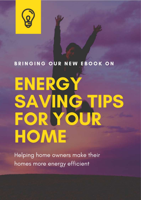

#### BRINGING OUR NEW EBOOK ON

# ENERG' SAVING TIPS FOR YOUR HOME

Helping home owners make their homes more energy efficient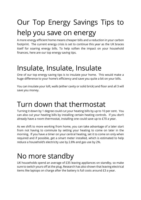## Our Top Energy Savings Tips to help you save on energy

A more energy efficient home means cheaper bills and a reduction in your carbon footprint. The current energy crisis is set to continue this year as the UK braces itself for soaring energy bills. To help soften the impact on your household finances, here are our top energy saving tips.

#### Insulate, Insulate, Insulate

One of our top energy saving tips is to insulate your home. This would make a huge difference to your home's efficiency and save you quite a bit on your bills.

You can insulate your loft, walls (either cavity or solid brick) and floor and all 3 will save you money.

#### Turn down that thermostat

Turning it down by 1 degree could cut your heating bills by up to 10 per cent. You can also cut your heating bills by installing certain heating controls. If you don't already have a room thermostat, installing one could save up to £70 a year.

As we shift to more working from home, you can take advantage of a later start from not having to commute by setting your heating to come on later in the morning. If you have a timer on your central heating, set it to come on only when required and if possible, get a smart meter installed, which is estimated to help reduce a household's electricity use by 2.8% and gas use by 2%.

#### No more standby

UK households spend an average of £35 leaving appliances on standby, so make sure to switch yours off at the plug. Research has also shown that leaving electrical items like laptops on charge after the battery is full costs around £3 a year.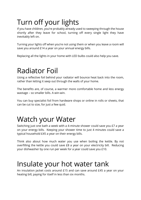#### Turn off your lights

If you have children, you're probably already used to sweeping through the house shortly after they leave for school, turning off every single light they have inevitably left on.

Turning your lights off when you're not using them or when you leave a room will save you around £14 a year on your annual energy bills.

Replacing all the lights in your home with LED bulbs could also help you save.

#### Radiator Foil

Using a reflective foil behind your radiator will bounce heat back into the room, rather than letting it seep out through the walls of your home.

The benefits are, of course, a warmer more comfortable home and less energy wastage – so smaller bills. A win-win.

You can buy specialist foil from hardware shops or online in rolls or sheets, that can be cut to size, for just a few quid.

#### Watch your Water

Switching just one bath a week with a 4-minute shower could save you £7 a year on your energy bills. Keeping your shower time to just 4 minutes could save a typical household £45 a year on their energy bills.

Think also about how much water you use when boiling the kettle. By not overfilling the kettle you could save £8 a year on your electricity bill. Reducing your dishwasher by one run per week for a year could save you £10.

#### Insulate your hot water tank

An insulation jacket costs around £15 and can save around £45 a year on your heating bill, paying for itself in less than six months.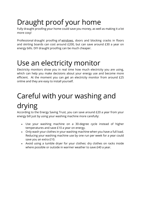#### Draught proof your home

Fully draught proofing your home could save you money, as well as making it a lot more cosy!

Professional draught proofing of [windows,](https://hoa.org.uk/advice/guides-for-homeowners/i-am-improving/what-to-expect-when-replacing-windows/) doors and blocking cracks in floors and skirting boards can cost around £200, but can save around £30 a year on energy bills. DIY draught proofing can be much cheaper.

#### Use an electricity monitor

Electricity monitors show you in real time how much electricity you are using, which can help you make decisions about your energy use and become more efficient. At the moment you can get an electricity monitor from around £25 online and they are easy to install yourself.

### Careful with your washing and drying

According to the Energy Saving Trust, you can save around £20 a year from your energy bill just by using your washing machine more carefully:

- Use your washing machine on a 30-degree cycle instead of higher temperatures and save £10 a year on energy.
- Only wash your clothes in your washing machine when you have a full load. Reducing your washing machine use by one run per week for a year could save you an extra £10.
- Avoid using a tumble dryer for your clothes: dry clothes on racks inside where possible or outside in warmer weather to save £40 a year.